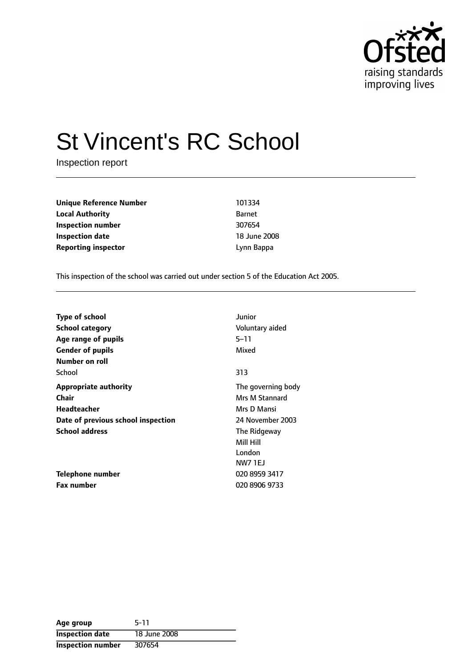

# St Vincent's RC School

Inspection report

**Unique Reference Number** 101334 **Local Authority** Barnet **Inspection number** 307654 **Inspection date** 18 June 2008 **Reporting inspector CONFIDENTIAL EXECUTE:** Lynn Bappa

This inspection of the school was carried out under section 5 of the Education Act 2005.

| <b>Type of school</b>              | Junior             |
|------------------------------------|--------------------|
| <b>School category</b>             | Voluntary aided    |
| Age range of pupils                | 5–11               |
| <b>Gender of pupils</b>            | Mixed              |
| Number on roll                     |                    |
| School                             | 313                |
| <b>Appropriate authority</b>       | The governing body |
| Chair                              | Mrs M Stannard     |
| Headteacher                        | Mrs D Mansi        |
| Date of previous school inspection | 24 November 2003   |
| <b>School address</b>              | The Ridgeway       |
|                                    | Mill Hill          |
|                                    | London             |
|                                    | <b>NW7 1EJ</b>     |
| Telephone number                   | 020 8959 3417      |
| <b>Fax number</b>                  | 020 8906 9733      |

| Age group              | 5-11         |
|------------------------|--------------|
| <b>Inspection date</b> | 18 June 2008 |
| Inspection number      | 307654       |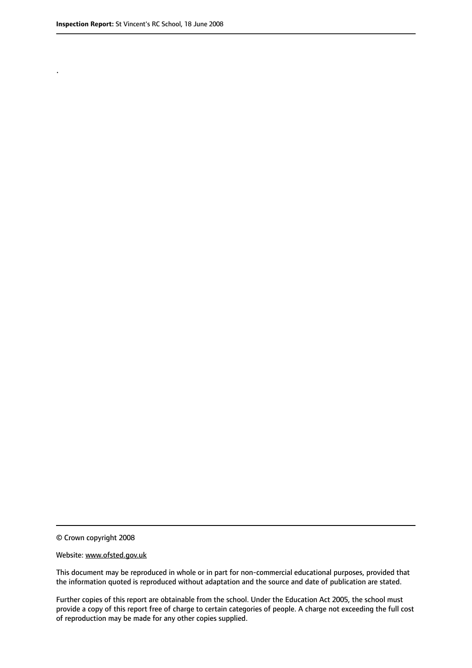.

© Crown copyright 2008

#### Website: www.ofsted.gov.uk

This document may be reproduced in whole or in part for non-commercial educational purposes, provided that the information quoted is reproduced without adaptation and the source and date of publication are stated.

Further copies of this report are obtainable from the school. Under the Education Act 2005, the school must provide a copy of this report free of charge to certain categories of people. A charge not exceeding the full cost of reproduction may be made for any other copies supplied.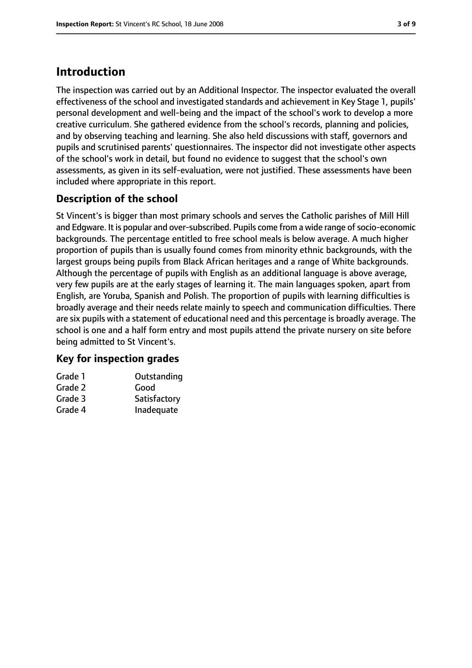# **Introduction**

The inspection was carried out by an Additional Inspector. The inspector evaluated the overall effectiveness of the school and investigated standards and achievement in Key Stage 1, pupils' personal development and well-being and the impact of the school's work to develop a more creative curriculum. She gathered evidence from the school's records, planning and policies, and by observing teaching and learning. She also held discussions with staff, governors and pupils and scrutinised parents' questionnaires. The inspector did not investigate other aspects of the school's work in detail, but found no evidence to suggest that the school's own assessments, as given in its self-evaluation, were not justified. These assessments have been included where appropriate in this report.

## **Description of the school**

St Vincent's is bigger than most primary schools and serves the Catholic parishes of Mill Hill and Edgware. It is popular and over-subscribed. Pupils come from a wide range of socio-economic backgrounds. The percentage entitled to free school meals is below average. A much higher proportion of pupils than is usually found comes from minority ethnic backgrounds, with the largest groups being pupils from Black African heritages and a range of White backgrounds. Although the percentage of pupils with English as an additional language is above average, very few pupils are at the early stages of learning it. The main languages spoken, apart from English, are Yoruba, Spanish and Polish. The proportion of pupils with learning difficulties is broadly average and their needs relate mainly to speech and communication difficulties. There are six pupils with a statement of educational need and this percentage is broadly average. The school is one and a half form entry and most pupils attend the private nursery on site before being admitted to St Vincent's.

#### **Key for inspection grades**

| Grade 1 | Outstanding  |
|---------|--------------|
| Grade 2 | Good         |
| Grade 3 | Satisfactory |
| Grade 4 | Inadequate   |
|         |              |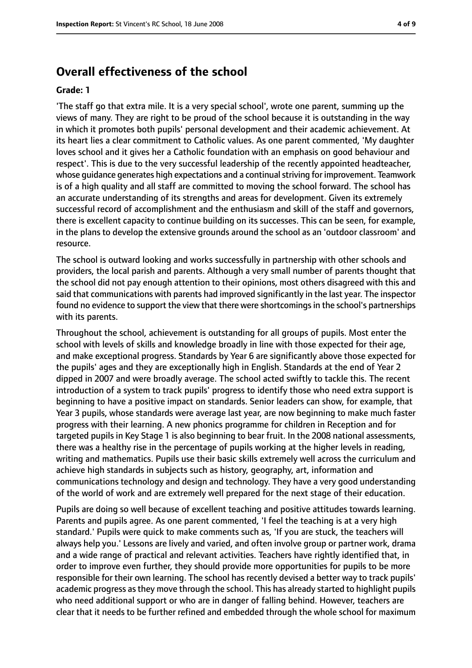## **Overall effectiveness of the school**

#### **Grade: 1**

'The staff go that extra mile. It is a very special school', wrote one parent, summing up the views of many. They are right to be proud of the school because it is outstanding in the way in which it promotes both pupils' personal development and their academic achievement. At its heart lies a clear commitment to Catholic values. As one parent commented, 'My daughter loves school and it gives her a Catholic foundation with an emphasis on good behaviour and respect'. This is due to the very successful leadership of the recently appointed headteacher, whose guidance generates high expectations and a continualstriving for improvement. Teamwork is of a high quality and all staff are committed to moving the school forward. The school has an accurate understanding of its strengths and areas for development. Given its extremely successful record of accomplishment and the enthusiasm and skill of the staff and governors, there is excellent capacity to continue building on its successes. This can be seen, for example, in the plans to develop the extensive grounds around the school as an 'outdoor classroom' and resource.

The school is outward looking and works successfully in partnership with other schools and providers, the local parish and parents. Although a very small number of parents thought that the school did not pay enough attention to their opinions, most others disagreed with this and said that communications with parents had improved significantly in the last year. The inspector found no evidence to support the view that there were shortcomings in the school's partnerships with its parents.

Throughout the school, achievement is outstanding for all groups of pupils. Most enter the school with levels of skills and knowledge broadly in line with those expected for their age, and make exceptional progress. Standards by Year 6 are significantly above those expected for the pupils' ages and they are exceptionally high in English. Standards at the end of Year 2 dipped in 2007 and were broadly average. The school acted swiftly to tackle this. The recent introduction of a system to track pupils' progress to identify those who need extra support is beginning to have a positive impact on standards. Senior leaders can show, for example, that Year 3 pupils, whose standards were average last year, are now beginning to make much faster progress with their learning. A new phonics programme for children in Reception and for targeted pupils in Key Stage 1 is also beginning to bear fruit. In the 2008 national assessments, there was a healthy rise in the percentage of pupils working at the higher levels in reading, writing and mathematics. Pupils use their basic skills extremely well across the curriculum and achieve high standards in subjects such as history, geography, art, information and communications technology and design and technology. They have a very good understanding of the world of work and are extremely well prepared for the next stage of their education.

Pupils are doing so well because of excellent teaching and positive attitudes towards learning. Parents and pupils agree. As one parent commented, 'I feel the teaching is at a very high standard.' Pupils were quick to make comments such as, 'If you are stuck, the teachers will always help you.' Lessons are lively and varied, and often involve group or partner work, drama and a wide range of practical and relevant activities. Teachers have rightly identified that, in order to improve even further, they should provide more opportunities for pupils to be more responsible for their own learning. The school has recently devised a better way to track pupils' academic progress as they move through the school. This has already started to highlight pupils who need additional support or who are in danger of falling behind. However, teachers are clear that it needs to be further refined and embedded through the whole school for maximum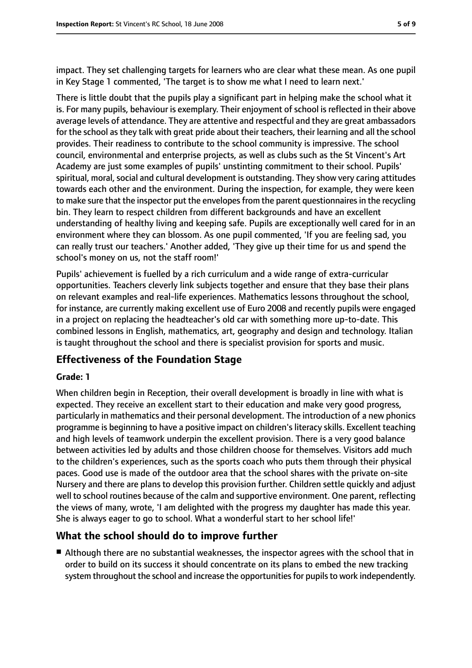impact. They set challenging targets for learners who are clear what these mean. As one pupil in Key Stage 1 commented, 'The target is to show me what I need to learn next.'

There is little doubt that the pupils play a significant part in helping make the school what it is. For many pupils, behaviour is exemplary. Their enjoyment of school is reflected in their above average levels of attendance. They are attentive and respectful and they are great ambassadors for the school as they talk with great pride about their teachers, their learning and all the school provides. Their readiness to contribute to the school community is impressive. The school council, environmental and enterprise projects, as well as clubs such as the St Vincent's Art Academy are just some examples of pupils' unstinting commitment to their school. Pupils' spiritual, moral, social and cultural development is outstanding. They show very caring attitudes towards each other and the environment. During the inspection, for example, they were keen to make sure that the inspector put the envelopes from the parent questionnaires in the recycling bin. They learn to respect children from different backgrounds and have an excellent understanding of healthy living and keeping safe. Pupils are exceptionally well cared for in an environment where they can blossom. As one pupil commented, 'If you are feeling sad, you can really trust our teachers.' Another added, 'They give up their time for us and spend the school's money on us, not the staff room!'

Pupils' achievement is fuelled by a rich curriculum and a wide range of extra-curricular opportunities. Teachers cleverly link subjects together and ensure that they base their plans on relevant examples and real-life experiences. Mathematics lessons throughout the school, for instance, are currently making excellent use of Euro 2008 and recently pupils were engaged in a project on replacing the headteacher's old car with something more up-to-date. This combined lessons in English, mathematics, art, geography and design and technology. Italian is taught throughout the school and there is specialist provision for sports and music.

#### **Effectiveness of the Foundation Stage**

#### **Grade: 1**

When children begin in Reception, their overall development is broadly in line with what is expected. They receive an excellent start to their education and make very good progress, particularly in mathematics and their personal development. The introduction of a new phonics programme is beginning to have a positive impact on children's literacy skills. Excellent teaching and high levels of teamwork underpin the excellent provision. There is a very good balance between activities led by adults and those children choose for themselves. Visitors add much to the children's experiences, such as the sports coach who puts them through their physical paces. Good use is made of the outdoor area that the school shares with the private on-site Nursery and there are plans to develop this provision further. Children settle quickly and adjust well to school routines because of the calm and supportive environment. One parent, reflecting the views of many, wrote, 'I am delighted with the progress my daughter has made this year. She is always eager to go to school. What a wonderful start to her school life!'

#### **What the school should do to improve further**

■ Although there are no substantial weaknesses, the inspector agrees with the school that in order to build on its success it should concentrate on its plans to embed the new tracking system throughout the school and increase the opportunities for pupils to work independently.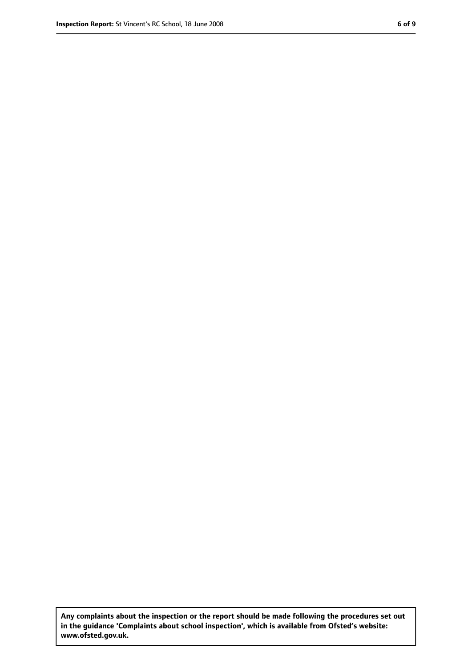**Any complaints about the inspection or the report should be made following the procedures set out in the guidance 'Complaints about school inspection', which is available from Ofsted's website: www.ofsted.gov.uk.**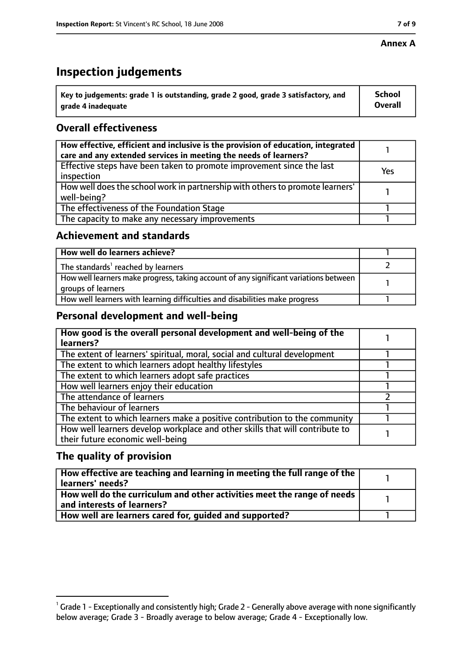#### **Annex A**

## **Inspection judgements**

| $^{\backprime}$ Key to judgements: grade 1 is outstanding, grade 2 good, grade 3 satisfactory, and | <b>School</b>  |
|----------------------------------------------------------------------------------------------------|----------------|
| arade 4 inadequate                                                                                 | <b>Overall</b> |

### **Overall effectiveness**

| How effective, efficient and inclusive is the provision of education, integrated<br>care and any extended services in meeting the needs of learners? |     |
|------------------------------------------------------------------------------------------------------------------------------------------------------|-----|
| Effective steps have been taken to promote improvement since the last<br>inspection                                                                  | Yes |
| How well does the school work in partnership with others to promote learners'<br>well-being?                                                         |     |
| The effectiveness of the Foundation Stage                                                                                                            |     |
| The capacity to make any necessary improvements                                                                                                      |     |

#### **Achievement and standards**

| How well do learners achieve?                                                                               |  |
|-------------------------------------------------------------------------------------------------------------|--|
| The standards <sup>1</sup> reached by learners                                                              |  |
| How well learners make progress, taking account of any significant variations between<br>groups of learners |  |
| How well learners with learning difficulties and disabilities make progress                                 |  |

#### **Personal development and well-being**

| How good is the overall personal development and well-being of the<br>learners?                                  |  |
|------------------------------------------------------------------------------------------------------------------|--|
| The extent of learners' spiritual, moral, social and cultural development                                        |  |
| The extent to which learners adopt healthy lifestyles                                                            |  |
| The extent to which learners adopt safe practices                                                                |  |
| How well learners enjoy their education                                                                          |  |
| The attendance of learners                                                                                       |  |
| The behaviour of learners                                                                                        |  |
| The extent to which learners make a positive contribution to the community                                       |  |
| How well learners develop workplace and other skills that will contribute to<br>their future economic well-being |  |

#### **The quality of provision**

| How effective are teaching and learning in meeting the full range of the<br>learners' needs?          |  |
|-------------------------------------------------------------------------------------------------------|--|
| How well do the curriculum and other activities meet the range of needs<br>and interests of learners? |  |
| How well are learners cared for, quided and supported?                                                |  |

 $^1$  Grade 1 - Exceptionally and consistently high; Grade 2 - Generally above average with none significantly below average; Grade 3 - Broadly average to below average; Grade 4 - Exceptionally low.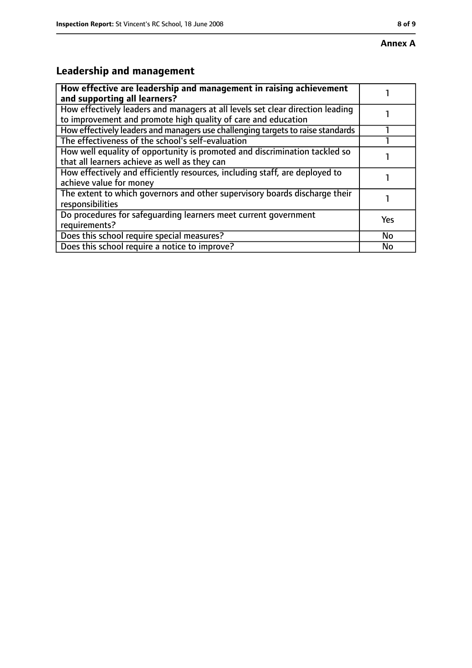# **Leadership and management**

| How effective are leadership and management in raising achievement<br>and supporting all learners?                                              |     |
|-------------------------------------------------------------------------------------------------------------------------------------------------|-----|
| How effectively leaders and managers at all levels set clear direction leading<br>to improvement and promote high quality of care and education |     |
| How effectively leaders and managers use challenging targets to raise standards                                                                 |     |
| The effectiveness of the school's self-evaluation                                                                                               |     |
| How well equality of opportunity is promoted and discrimination tackled so<br>that all learners achieve as well as they can                     |     |
| How effectively and efficiently resources, including staff, are deployed to<br>achieve value for money                                          |     |
| The extent to which governors and other supervisory boards discharge their<br>responsibilities                                                  |     |
| Do procedures for safequarding learners meet current government<br>requirements?                                                                | Yes |
| Does this school require special measures?                                                                                                      | No  |
| Does this school require a notice to improve?                                                                                                   | No  |